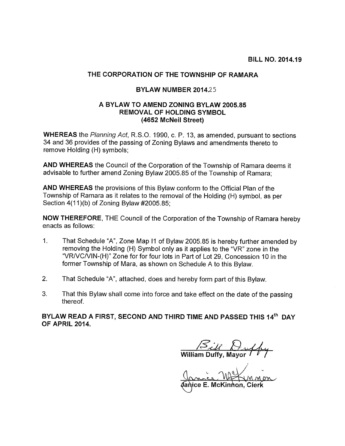## THE CORPORATION OF THE TOWNSHIP OF RAMARA

## BYLAW NUMBER 2014.25

## A BYLAW TO AMEND ZONING BYLAW 2005.85 REMOVAL OF HOLDING SYMBOL (4652 McNeil Street)

WHEREAS the Planning Act, R.S.O. 1990, c. P. 13, as amended, pursuant to sections 34 and 36 provides of the passing of Zoning Bylaws and amendments thereto to remove Holding (H) symbols;

AND WHEREAS the Council of the Corporation of the Township of Ramara deems it advisable to further amend Zoning Bylaw 2005.85 of the Township of Ramara;

AND WHEREAS the provisions of this Bylaw conform to the Official Plan of the Township of Ramara as it relates to the removal of the Holding (H) symbol, as per Section 4(11)(b) of Zoning Bylaw #2005.85;

NOW THEREFORE, THE Council of the Corporation of the Township of Ramara hereby enacts as follows:

- 1. That Schedule "A", Zone Map II of Bylaw 2005.85 is hereby further amended by removing the Holding (H) Symbol only as it applies to the "VR" zone in the "VRIVCNIN-(H)" Zone for for four lots in Part of Lot 29, Concession 10 in the former Township of Mara, as shown on Schedule A to this Bylaw.
- 2. That Schedule "A", attached, does and hereby form part of this Bylaw.
- 3. That this Bylaw shall come into force and take effect on the date of the passing thereof.

BYLAW READ A FIRST, SECOND AND THIRD TIME AND PASSED THIS 14<sup>th</sup> DAY OF APRIL 2014.

William Duffy.

Vanice E. McKinnon, Clerk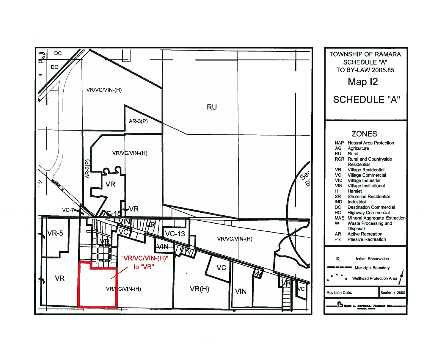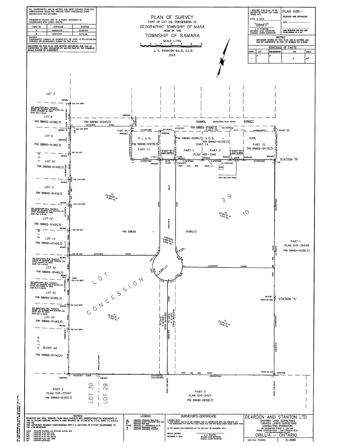

Ref. Pen/RF25890.0mg, 24X30, 15/12/2015 12/15 PM.<br>S. ANCH wrpond D (24.00 r 36.00 inches), 11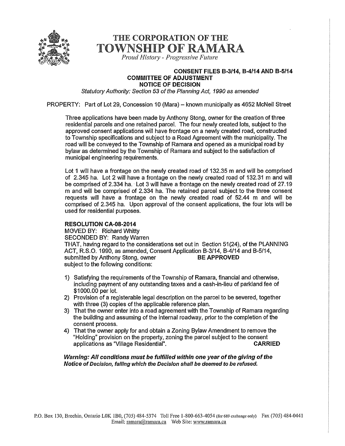

# THE CORPORATION OF THE TOWNSHIP OF RAMARA

Proud History - Progressive Future

#### CONSENT FILES B-3114, B-4!14 AND B-5114 COMMITTEE OF ADJUSTMENT NOTICE OF DECISION

Statutory Authority: Section 53 of the Planning Act, 1990 as amended

PROPERTY: Part of Lot 29, Concession 10 (Mara) — known municipally as 4652 McNeil Street

Three applications have been made by Anthony Stong, owner for the creation of three residential parcels and one retained parcel. The four newly created lots, subject to the approved consent applications will have frontage on a newly created road, constructed to Township specifications and subject to a Road Agreement with the municipality. The road will be conveyed to the Township of Ramara and opened as a municipal road by bylaw as determined by the Township of Ramara and subject to the satisfaction of municipal engineering requirements.

Lot <sup>1</sup> will have a frontage on the newly created road of 132.35 m and will be comprised of 2.345 ha. Lot 2 will have a frontage on the newly created road of 132.31 m and will be comprised of 2.334 ha. Lot 3 will have a frontage on the newly created road of 27.19 m and will be comprised of 2.334 ha. The retained parcel subject to the three consent requests will have a frontage on the newly created road of 52.44 m and will be comprised of 2.345 ha. Upon approval of the consent applications, the four lots will be used for residential purposes.

### RESOLUTION CA-08-2014

MOVED BY: Richard Whitty SECONDED BY: Randy Warren THAT, having regard to the considerations set out in Section 51(24), of the PLANNING ACT, R.S.O. 1990, as amended, Consent Application 8-3/14, 8-4/14 and B-5/14, submitted by Anthony Stong, owner BE APPROVED subject to the following conditions:

- 1) Satisfying the requirements of the Township of Ramara, financial and otherwise, including payment of any outstanding taxes and a cash-in-lieu of parkland fee of \$1000.00 per lot.
- 2) Provision of a registerable legal description on the parcel to be severed, together with three (3) copies of the applicable reference plan.
- 3) That the owner enter into a road agreement with the Township of Ramara regarding the building and assuming of the internal roadway, prior to the completion of the consent process.
- 4) That the owner apply for and obtain a Zoning Bylaw Amendment to remove the "Holding" provision on the property, zoning the parcel subject to the consent applications as "Village Residential".

Warning: All conditions must be fulfilled within one year of the giving of the Notice of Decision, falling which the Decision shall be deemed to be refused.